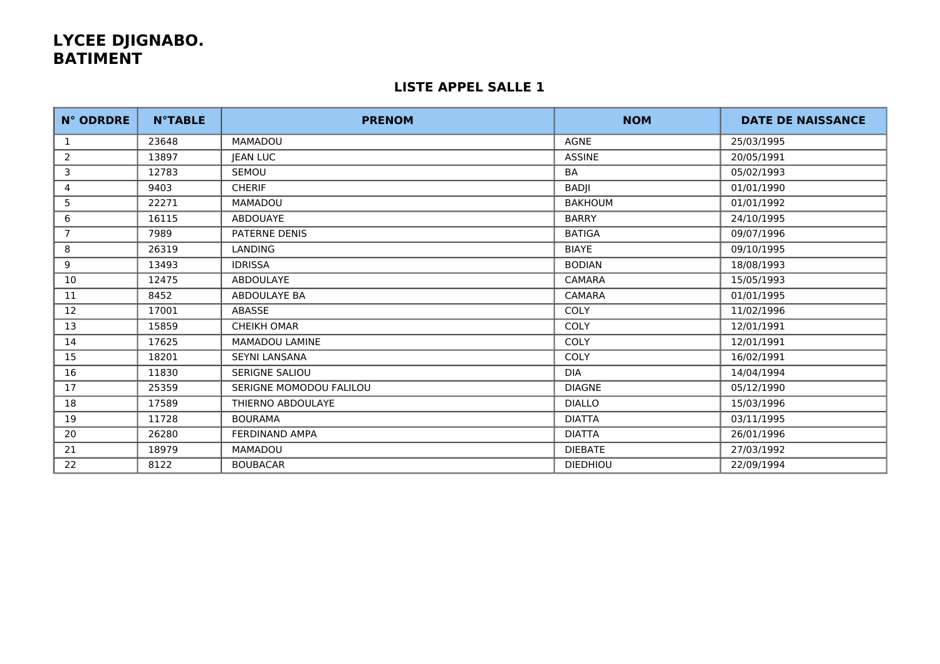# **LYCEE DJIGNABO. BATIMENT**

### **LISTE APPEL SALLE 1**

| <b>N° ODRDRE</b> | <b>N°TABLE</b> | <b>PRENOM</b>           | <b>NOM</b>      | <b>DATE DE NAISSANCE</b> |
|------------------|----------------|-------------------------|-----------------|--------------------------|
| 1                | 23648          | MAMADOU                 | <b>AGNE</b>     | 25/03/1995               |
| 2                | 13897          | JEAN LUC                | <b>ASSINE</b>   | 20/05/1991               |
| 3                | 12783          | <b>SEMOU</b>            | BA              | 05/02/1993               |
| 4                | 9403           | <b>CHERIF</b>           | BADJI           | 01/01/1990               |
| 5                | 22271          | MAMADOU                 | <b>BAKHOUM</b>  | 01/01/1992               |
| 6                | 16115          | <b>ABDOUAYE</b>         | <b>BARRY</b>    | 24/10/1995               |
| $\overline{7}$   | 7989           | <b>PATERNE DENIS</b>    | <b>BATIGA</b>   | 09/07/1996               |
| 8                | 26319          | <b>LANDING</b>          | <b>BIAYE</b>    | 09/10/1995               |
| 9                | 13493          | <b>IDRISSA</b>          | <b>BODIAN</b>   | 18/08/1993               |
| 10               | 12475          | <b>ABDOULAYE</b>        | <b>CAMARA</b>   | 15/05/1993               |
| 11               | 8452           | ABDOULAYE BA            | <b>CAMARA</b>   | 01/01/1995               |
| 12               | 17001          | ABASSE                  | <b>COLY</b>     | 11/02/1996               |
| 13               | 15859          | <b>CHEIKH OMAR</b>      | COLY            | 12/01/1991               |
| 14               | 17625          | <b>MAMADOU LAMINE</b>   | COLY            | 12/01/1991               |
| 15               | 18201          | <b>SEYNI LANSANA</b>    | COLY            | 16/02/1991               |
| 16               | 11830          | SERIGNE SALIOU          | <b>DIA</b>      | 14/04/1994               |
| 17               | 25359          | SERIGNE MOMODOU FALILOU | <b>DIAGNE</b>   | 05/12/1990               |
| 18               | 17589          | THIERNO ABDOULAYE       | <b>DIALLO</b>   | 15/03/1996               |
| 19               | 11728          | <b>BOURAMA</b>          | <b>DIATTA</b>   | 03/11/1995               |
| 20               | 26280          | FERDINAND AMPA          | <b>DIATTA</b>   | 26/01/1996               |
| 21               | 18979          | MAMADOU                 | <b>DIEBATE</b>  | 27/03/1992               |
| 22               | 8122           | <b>BOUBACAR</b>         | <b>DIEDHIOU</b> | 22/09/1994               |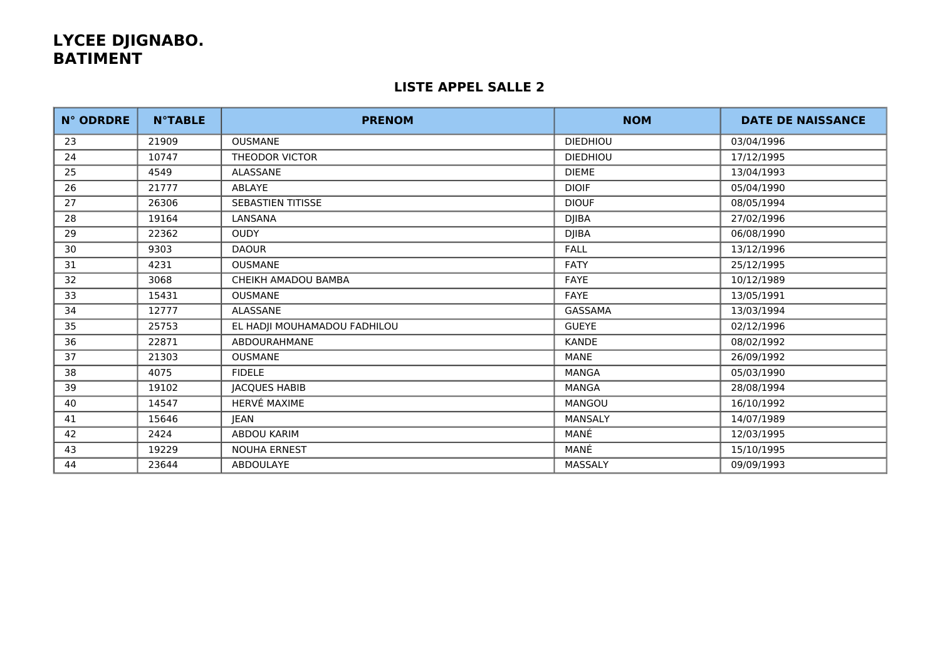# **LYCEE DJIGNABO. BATIMENT**

### **LISTE APPEL SALLE 2**

| <b>N° ODRDRE</b> | <b>N°TABLE</b> | <b>PRENOM</b>                | <b>NOM</b>      | <b>DATE DE NAISSANCE</b> |
|------------------|----------------|------------------------------|-----------------|--------------------------|
| 23               | 21909          | <b>OUSMANE</b>               | <b>DIEDHIOU</b> | 03/04/1996               |
| 24               | 10747          | <b>THEODOR VICTOR</b>        | <b>DIEDHIOU</b> | 17/12/1995               |
| 25               | 4549           | ALASSANE                     | <b>DIEME</b>    | 13/04/1993               |
| 26               | 21777          | ABLAYE                       | <b>DIOIF</b>    | 05/04/1990               |
| 27               | 26306          | <b>SEBASTIEN TITISSE</b>     | <b>DIOUF</b>    | 08/05/1994               |
| 28               | 19164          | LANSANA                      | <b>DJIBA</b>    | 27/02/1996               |
| 29               | 22362          | <b>OUDY</b>                  | <b>DJIBA</b>    | 06/08/1990               |
| 30               | 9303           | <b>DAOUR</b>                 | <b>FALL</b>     | 13/12/1996               |
| 31               | 4231           | <b>OUSMANE</b>               | <b>FATY</b>     | 25/12/1995               |
| 32               | 3068           | CHEIKH AMADOU BAMBA          | FAYE            | 10/12/1989               |
| 33               | 15431          | <b>OUSMANE</b>               | <b>FAYE</b>     | 13/05/1991               |
| 34               | 12777          | ALASSANE                     | GASSAMA         | 13/03/1994               |
| 35               | 25753          | EL HADJI MOUHAMADOU FADHILOU | <b>GUEYE</b>    | 02/12/1996               |
| 36               | 22871          | ABDOURAHMANE                 | <b>KANDE</b>    | 08/02/1992               |
| 37               | 21303          | <b>OUSMANE</b>               | MANE            | 26/09/1992               |
| 38               | 4075           | <b>FIDELE</b>                | <b>MANGA</b>    | 05/03/1990               |
| 39               | 19102          | <b>JACQUES HABIB</b>         | <b>MANGA</b>    | 28/08/1994               |
| 40               | 14547          | HERVÉ MAXIME                 | <b>MANGOU</b>   | 16/10/1992               |
| 41               | 15646          | <b>JEAN</b>                  | <b>MANSALY</b>  | 14/07/1989               |
| 42               | 2424           | ABDOU KARIM                  | MANÉ            | 12/03/1995               |
| 43               | 19229          | <b>NOUHA ERNEST</b>          | MANÉ            | 15/10/1995               |
| 44               | 23644          | <b>ABDOULAYE</b>             | MASSALY         | 09/09/1993               |